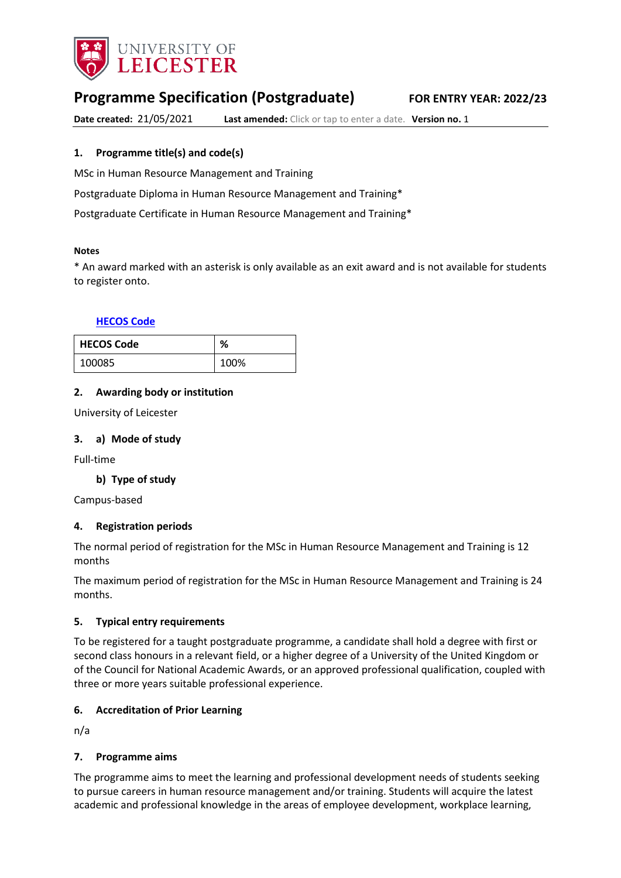

# **Programme Specification (Postgraduate) FOR ENTRY YEAR: 2022/23**

**Date created:** 21/05/2021 **Last amended:** Click or tap to enter a date. **Version no.** 1

### <span id="page-0-0"></span>**1. Programme title(s) and code(s)**

MSc in Human Resource Management and Training

Postgraduate Diploma in Human Resource Management and Training\*

Postgraduate Certificate in Human Resource Management and Training\*

#### **Notes**

\* An award marked with an asterisk is only available as an exit award and is not available for students to register onto.

#### **[HECOS Code](https://www.hesa.ac.uk/innovation/hecos)**

| <b>HECOS Code</b> | ℅    |
|-------------------|------|
| 100085            | 100% |

#### **2. Awarding body or institution**

University of Leicester

#### **3. a) Mode of study**

Full-time

#### **b) Type of study**

Campus-based

#### **4. Registration periods**

The normal period of registration for the MSc in Human Resource Management and Training is 12 months

The maximum period of registration for the MSc in Human Resource Management and Training is 24 months.

#### **5. Typical entry requirements**

To be registered for a taught postgraduate programme, a candidate shall hold a degree with first or second class honours in a relevant field, or a higher degree of a University of the United Kingdom or of the Council for National Academic Awards, or an approved professional qualification, coupled with three or more years suitable professional experience.

#### **6. Accreditation of Prior Learning**

n/a

#### **7. Programme aims**

The programme aims to meet the learning and professional development needs of students seeking to pursue careers in human resource management and/or training. Students will acquire the latest academic and professional knowledge in the areas of employee development, workplace learning,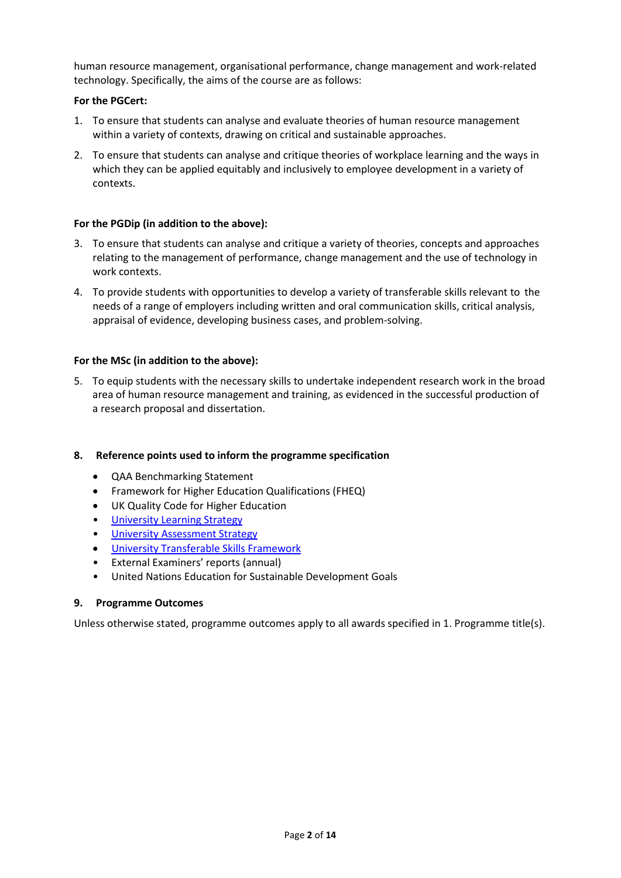human resource management, organisational performance, change management and work-related technology. Specifically, the aims of the course are as follows:

### **For the PGCert:**

- 1. To ensure that students can analyse and evaluate theories of human resource management within a variety of contexts, drawing on critical and sustainable approaches.
- 2. To ensure that students can analyse and critique theories of workplace learning and the ways in which they can be applied equitably and inclusively to employee development in a variety of contexts.

### **For the PGDip (in addition to the above):**

- 3. To ensure that students can analyse and critique a variety of theories, concepts and approaches relating to the management of performance, change management and the use of technology in work contexts.
- 4. To provide students with opportunities to develop a variety of transferable skills relevant to the needs of a range of employers including written and oral communication skills, critical analysis, appraisal of evidence, developing business cases, and problem-solving.

### **For the MSc (in addition to the above):**

5. To equip students with the necessary skills to undertake independent research work in the broad area of human resource management and training, as evidenced in the successful production of a research proposal and dissertation.

#### **8. Reference points used to inform the programme specification**

- QAA Benchmarking Statement
- Framework for Higher Education Qualifications (FHEQ)
- UK Quality Code for Higher Education
- [University Learning](https://www2.le.ac.uk/offices/sas2/quality/learnteach) Strategy
- [University Assessment Strategy](https://www2.le.ac.uk/offices/sas2/quality/learnteach)
- [University Transferable Skills Framework](https://uniofleicester.sharepoint.com/sites/MyEmployment/SitePages/Transferable-Skills-Framework.aspx)
- External Examiners' reports (annual)
- United Nations Education for Sustainable Development Goals

### **9. Programme Outcomes**

Unless otherwise stated, programme outcomes apply to all awards specified in [1.](#page-0-0) Programme title(s).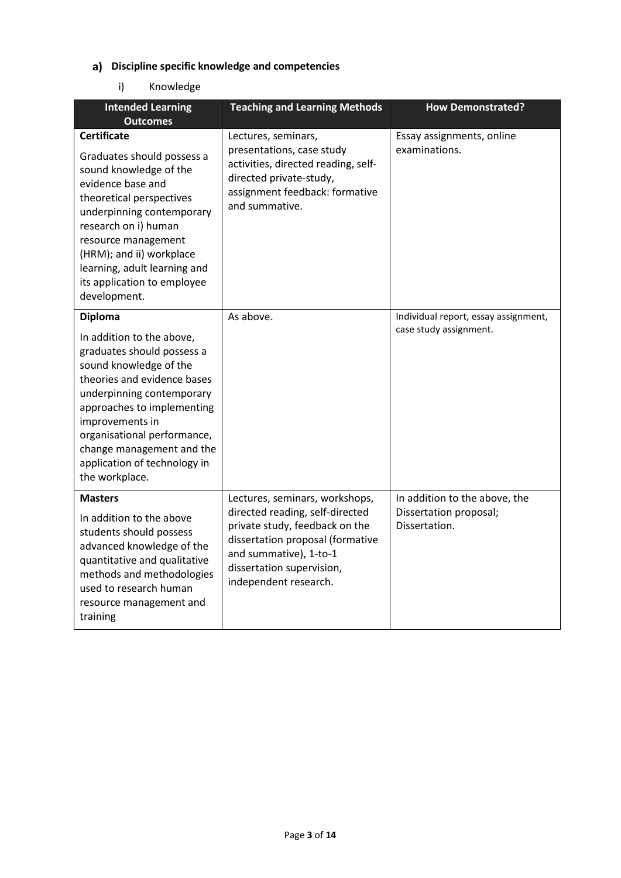# **Discipline specific knowledge and competencies**

# i) Knowledge

| <b>Intended Learning</b><br><b>Outcomes</b>                                                                                                                                                                                                                                                                                    | <b>Teaching and Learning Methods</b>                                                                                                                                                                                    | <b>How Demonstrated?</b>                                                 |
|--------------------------------------------------------------------------------------------------------------------------------------------------------------------------------------------------------------------------------------------------------------------------------------------------------------------------------|-------------------------------------------------------------------------------------------------------------------------------------------------------------------------------------------------------------------------|--------------------------------------------------------------------------|
| <b>Certificate</b><br>Graduates should possess a<br>sound knowledge of the<br>evidence base and<br>theoretical perspectives<br>underpinning contemporary<br>research on i) human<br>resource management<br>(HRM); and ii) workplace<br>learning, adult learning and<br>its application to employee<br>development.             | Lectures, seminars,<br>presentations, case study<br>activities, directed reading, self-<br>directed private-study,<br>assignment feedback: formative<br>and summative.                                                  | Essay assignments, online<br>examinations.                               |
| <b>Diploma</b><br>In addition to the above,<br>graduates should possess a<br>sound knowledge of the<br>theories and evidence bases<br>underpinning contemporary<br>approaches to implementing<br>improvements in<br>organisational performance,<br>change management and the<br>application of technology in<br>the workplace. | As above.                                                                                                                                                                                                               | Individual report, essay assignment,<br>case study assignment.           |
| <b>Masters</b><br>In addition to the above<br>students should possess<br>advanced knowledge of the<br>quantitative and qualitative<br>methods and methodologies<br>used to research human<br>resource management and<br>training                                                                                               | Lectures, seminars, workshops,<br>directed reading, self-directed<br>private study, feedback on the<br>dissertation proposal (formative<br>and summative), 1-to-1<br>dissertation supervision,<br>independent research. | In addition to the above, the<br>Dissertation proposal;<br>Dissertation. |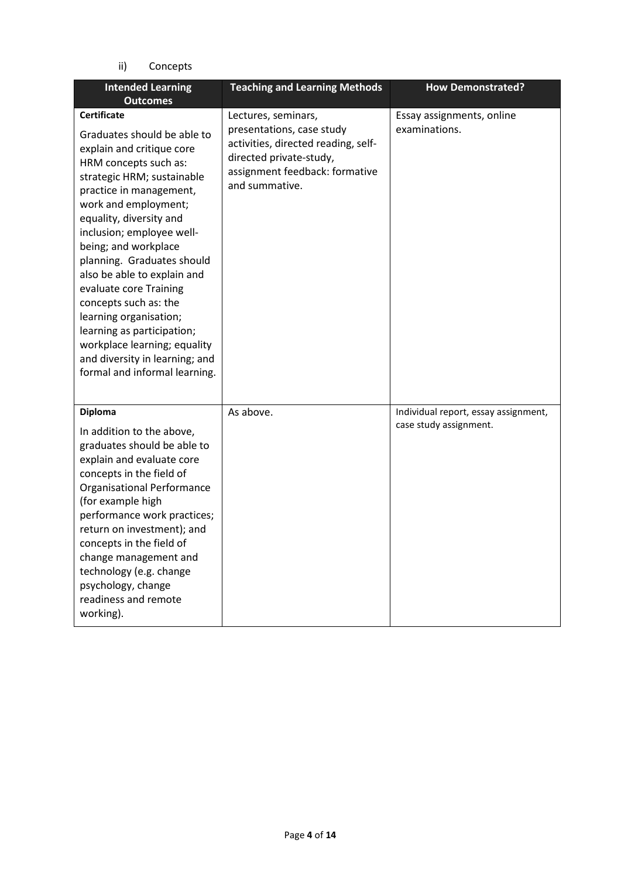ii) Concepts

| <b>Intended Learning</b><br><b>Outcomes</b>                                                                                                                                                                                                                                                                                                                                                                                                                                                                                                         | <b>Teaching and Learning Methods</b>                                                                                                                                   | <b>How Demonstrated?</b>                                       |
|-----------------------------------------------------------------------------------------------------------------------------------------------------------------------------------------------------------------------------------------------------------------------------------------------------------------------------------------------------------------------------------------------------------------------------------------------------------------------------------------------------------------------------------------------------|------------------------------------------------------------------------------------------------------------------------------------------------------------------------|----------------------------------------------------------------|
| <b>Certificate</b><br>Graduates should be able to<br>explain and critique core<br>HRM concepts such as:<br>strategic HRM; sustainable<br>practice in management,<br>work and employment;<br>equality, diversity and<br>inclusion; employee well-<br>being; and workplace<br>planning. Graduates should<br>also be able to explain and<br>evaluate core Training<br>concepts such as: the<br>learning organisation;<br>learning as participation;<br>workplace learning; equality<br>and diversity in learning; and<br>formal and informal learning. | Lectures, seminars,<br>presentations, case study<br>activities, directed reading, self-<br>directed private-study,<br>assignment feedback: formative<br>and summative. | Essay assignments, online<br>examinations.                     |
| <b>Diploma</b><br>In addition to the above,<br>graduates should be able to<br>explain and evaluate core<br>concepts in the field of<br><b>Organisational Performance</b><br>(for example high<br>performance work practices;<br>return on investment); and<br>concepts in the field of<br>change management and<br>technology (e.g. change<br>psychology, change<br>readiness and remote<br>working).                                                                                                                                               | As above.                                                                                                                                                              | Individual report, essay assignment,<br>case study assignment. |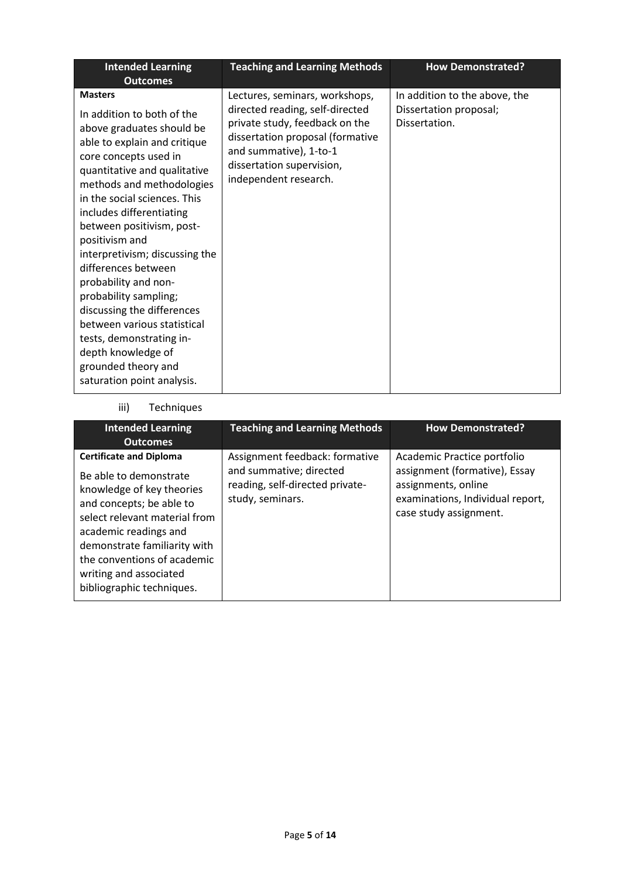| <b>Intended Learning</b><br><b>Outcomes</b>                                                                                                                                                                                                                                                                                                                                                                                                                                                                                                                                              | <b>Teaching and Learning Methods</b>                                                                                                                                                                                    | <b>How Demonstrated?</b>                                                 |
|------------------------------------------------------------------------------------------------------------------------------------------------------------------------------------------------------------------------------------------------------------------------------------------------------------------------------------------------------------------------------------------------------------------------------------------------------------------------------------------------------------------------------------------------------------------------------------------|-------------------------------------------------------------------------------------------------------------------------------------------------------------------------------------------------------------------------|--------------------------------------------------------------------------|
| <b>Masters</b><br>In addition to both of the<br>above graduates should be<br>able to explain and critique<br>core concepts used in<br>quantitative and qualitative<br>methods and methodologies<br>in the social sciences. This<br>includes differentiating<br>between positivism, post-<br>positivism and<br>interpretivism; discussing the<br>differences between<br>probability and non-<br>probability sampling;<br>discussing the differences<br>between various statistical<br>tests, demonstrating in-<br>depth knowledge of<br>grounded theory and<br>saturation point analysis. | Lectures, seminars, workshops,<br>directed reading, self-directed<br>private study, feedback on the<br>dissertation proposal (formative<br>and summative), 1-to-1<br>dissertation supervision,<br>independent research. | In addition to the above, the<br>Dissertation proposal;<br>Dissertation. |

# iii) Techniques

| <b>Intended Learning</b><br><b>Outcomes</b>                                                                                                                                                                                                                                                       | <b>Teaching and Learning Methods</b>                                                                             | <b>How Demonstrated?</b>                                                                                                                          |
|---------------------------------------------------------------------------------------------------------------------------------------------------------------------------------------------------------------------------------------------------------------------------------------------------|------------------------------------------------------------------------------------------------------------------|---------------------------------------------------------------------------------------------------------------------------------------------------|
| <b>Certificate and Diploma</b><br>Be able to demonstrate<br>knowledge of key theories<br>and concepts; be able to<br>select relevant material from<br>academic readings and<br>demonstrate familiarity with<br>the conventions of academic<br>writing and associated<br>bibliographic techniques. | Assignment feedback: formative<br>and summative; directed<br>reading, self-directed private-<br>study, seminars. | Academic Practice portfolio<br>assignment (formative), Essay<br>assignments, online<br>examinations, Individual report,<br>case study assignment. |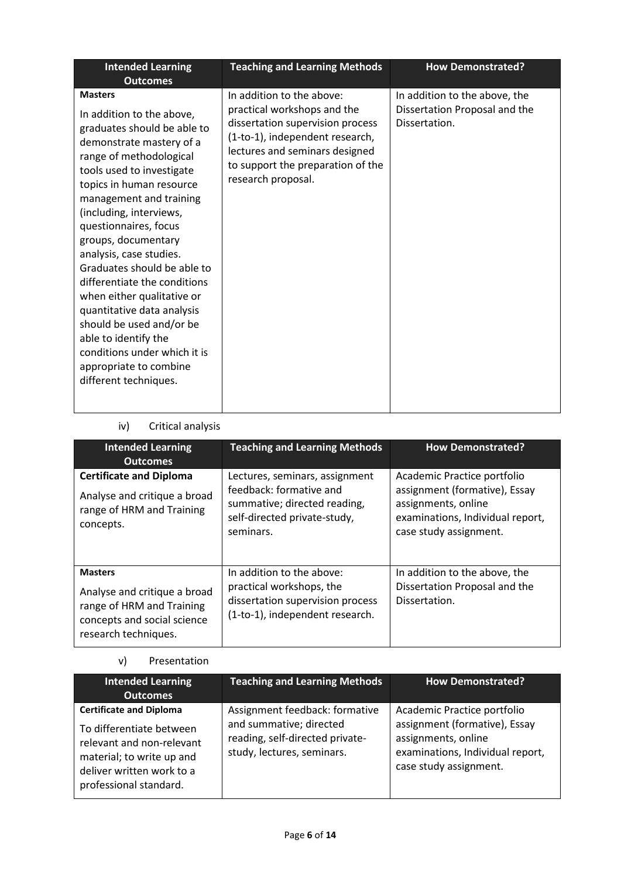| <b>Intended Learning</b><br><b>Outcomes</b>                                                                                                                                                                                                                                                                                                                                                                                                                                                                                                                                                   | <b>Teaching and Learning Methods</b>                                                                                                                                                                                         | <b>How Demonstrated?</b>                                                        |
|-----------------------------------------------------------------------------------------------------------------------------------------------------------------------------------------------------------------------------------------------------------------------------------------------------------------------------------------------------------------------------------------------------------------------------------------------------------------------------------------------------------------------------------------------------------------------------------------------|------------------------------------------------------------------------------------------------------------------------------------------------------------------------------------------------------------------------------|---------------------------------------------------------------------------------|
| <b>Masters</b><br>In addition to the above,<br>graduates should be able to<br>demonstrate mastery of a<br>range of methodological<br>tools used to investigate<br>topics in human resource<br>management and training<br>(including, interviews,<br>questionnaires, focus<br>groups, documentary<br>analysis, case studies.<br>Graduates should be able to<br>differentiate the conditions<br>when either qualitative or<br>quantitative data analysis<br>should be used and/or be<br>able to identify the<br>conditions under which it is<br>appropriate to combine<br>different techniques. | In addition to the above:<br>practical workshops and the<br>dissertation supervision process<br>(1-to-1), independent research,<br>lectures and seminars designed<br>to support the preparation of the<br>research proposal. | In addition to the above, the<br>Dissertation Proposal and the<br>Dissertation. |

# iv) Critical analysis

| <b>Intended Learning</b><br><b>Outcomes</b>                                                                                        | <b>Teaching and Learning Methods</b>                                                                                                   | <b>How Demonstrated?</b>                                                                                                                          |
|------------------------------------------------------------------------------------------------------------------------------------|----------------------------------------------------------------------------------------------------------------------------------------|---------------------------------------------------------------------------------------------------------------------------------------------------|
| <b>Certificate and Diploma</b><br>Analyse and critique a broad<br>range of HRM and Training<br>concepts.                           | Lectures, seminars, assignment<br>feedback: formative and<br>summative; directed reading,<br>self-directed private-study,<br>seminars. | Academic Practice portfolio<br>assignment (formative), Essay<br>assignments, online<br>examinations, Individual report,<br>case study assignment. |
| <b>Masters</b><br>Analyse and critique a broad<br>range of HRM and Training<br>concepts and social science<br>research techniques. | In addition to the above:<br>practical workshops, the<br>dissertation supervision process<br>(1-to-1), independent research.           | In addition to the above, the<br>Dissertation Proposal and the<br>Dissertation.                                                                   |

# v) Presentation

| Intended Learning<br><b>Outcomes</b>                                                                                                                                        | <b>Teaching and Learning Methods</b>                                                                                       | <b>How Demonstrated?</b>                                                                                                                          |
|-----------------------------------------------------------------------------------------------------------------------------------------------------------------------------|----------------------------------------------------------------------------------------------------------------------------|---------------------------------------------------------------------------------------------------------------------------------------------------|
| <b>Certificate and Diploma</b><br>To differentiate between<br>relevant and non-relevant<br>material; to write up and<br>deliver written work to a<br>professional standard. | Assignment feedback: formative<br>and summative; directed<br>reading, self-directed private-<br>study, lectures, seminars. | Academic Practice portfolio<br>assignment (formative), Essay<br>assignments, online<br>examinations, Individual report,<br>case study assignment. |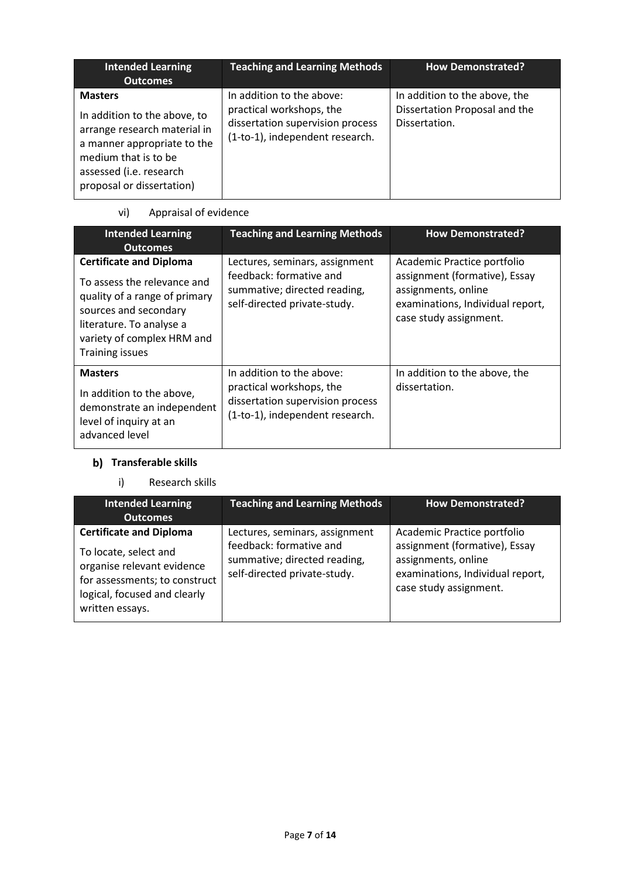| <b>Intended Learning</b><br><b>Outcomes</b>                                                                                                                                                   | <b>Teaching and Learning Methods</b>                                                                                         | <b>How Demonstrated?</b>                                                        |
|-----------------------------------------------------------------------------------------------------------------------------------------------------------------------------------------------|------------------------------------------------------------------------------------------------------------------------------|---------------------------------------------------------------------------------|
| <b>Masters</b><br>In addition to the above, to<br>arrange research material in<br>a manner appropriate to the<br>medium that is to be<br>assessed (i.e. research<br>proposal or dissertation) | In addition to the above:<br>practical workshops, the<br>dissertation supervision process<br>(1-to-1), independent research. | In addition to the above, the<br>Dissertation Proposal and the<br>Dissertation. |

# vi) Appraisal of evidence

| <b>Intended Learning</b><br><b>Outcomes</b>                                                                                                                                                                 | <b>Teaching and Learning Methods</b>                                                                                         | <b>How Demonstrated?</b>                                                                                                                          |
|-------------------------------------------------------------------------------------------------------------------------------------------------------------------------------------------------------------|------------------------------------------------------------------------------------------------------------------------------|---------------------------------------------------------------------------------------------------------------------------------------------------|
| <b>Certificate and Diploma</b><br>To assess the relevance and<br>quality of a range of primary<br>sources and secondary<br>literature. To analyse a<br>variety of complex HRM and<br><b>Training issues</b> | Lectures, seminars, assignment<br>feedback: formative and<br>summative; directed reading,<br>self-directed private-study.    | Academic Practice portfolio<br>assignment (formative), Essay<br>assignments, online<br>examinations, Individual report,<br>case study assignment. |
| <b>Masters</b><br>In addition to the above,<br>demonstrate an independent<br>level of inquiry at an<br>advanced level                                                                                       | In addition to the above:<br>practical workshops, the<br>dissertation supervision process<br>(1-to-1), independent research. | In addition to the above, the<br>dissertation.                                                                                                    |

# **Transferable skills**

## i) Research skills

| <b>Intended Learning</b>                                                                                                                                                  | <b>Teaching and Learning Methods</b>                                                                                      | <b>How Demonstrated?</b>                                                                                                                          |
|---------------------------------------------------------------------------------------------------------------------------------------------------------------------------|---------------------------------------------------------------------------------------------------------------------------|---------------------------------------------------------------------------------------------------------------------------------------------------|
| <b>Outcomes</b>                                                                                                                                                           |                                                                                                                           |                                                                                                                                                   |
| <b>Certificate and Diploma</b><br>To locate, select and<br>organise relevant evidence<br>for assessments; to construct<br>logical, focused and clearly<br>written essays. | Lectures, seminars, assignment<br>feedback: formative and<br>summative; directed reading,<br>self-directed private-study. | Academic Practice portfolio<br>assignment (formative), Essay<br>assignments, online<br>examinations, Individual report,<br>case study assignment. |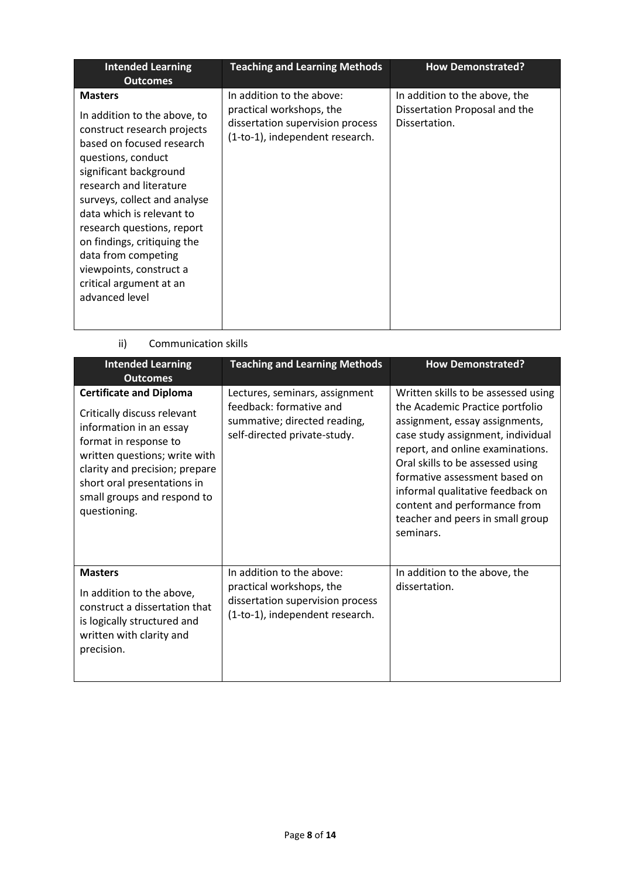| <b>Intended Learning</b><br><b>Outcomes</b>                                                                                                                                                                                                                                                                                                                                                                    | <b>Teaching and Learning Methods</b>                                                                                         | <b>How Demonstrated?</b>                                                        |
|----------------------------------------------------------------------------------------------------------------------------------------------------------------------------------------------------------------------------------------------------------------------------------------------------------------------------------------------------------------------------------------------------------------|------------------------------------------------------------------------------------------------------------------------------|---------------------------------------------------------------------------------|
| <b>Masters</b><br>In addition to the above, to<br>construct research projects<br>based on focused research<br>questions, conduct<br>significant background<br>research and literature<br>surveys, collect and analyse<br>data which is relevant to<br>research questions, report<br>on findings, critiquing the<br>data from competing<br>viewpoints, construct a<br>critical argument at an<br>advanced level | In addition to the above:<br>practical workshops, the<br>dissertation supervision process<br>(1-to-1), independent research. | In addition to the above, the<br>Dissertation Proposal and the<br>Dissertation. |

ii) Communication skills

| <b>Intended Learning</b><br><b>Outcomes</b>                                                                                                                                                                                                                        | <b>Teaching and Learning Methods</b>                                                                                         | <b>How Demonstrated?</b><br>Written skills to be assessed using<br>the Academic Practice portfolio<br>assignment, essay assignments,<br>case study assignment, individual<br>report, and online examinations.<br>Oral skills to be assessed using<br>formative assessment based on<br>informal qualitative feedback on<br>content and performance from<br>teacher and peers in small group<br>seminars. |  |
|--------------------------------------------------------------------------------------------------------------------------------------------------------------------------------------------------------------------------------------------------------------------|------------------------------------------------------------------------------------------------------------------------------|---------------------------------------------------------------------------------------------------------------------------------------------------------------------------------------------------------------------------------------------------------------------------------------------------------------------------------------------------------------------------------------------------------|--|
| <b>Certificate and Diploma</b><br>Critically discuss relevant<br>information in an essay<br>format in response to<br>written questions; write with<br>clarity and precision; prepare<br>short oral presentations in<br>small groups and respond to<br>questioning. | Lectures, seminars, assignment<br>feedback: formative and<br>summative; directed reading,<br>self-directed private-study.    |                                                                                                                                                                                                                                                                                                                                                                                                         |  |
| <b>Masters</b><br>In addition to the above,<br>construct a dissertation that<br>is logically structured and<br>written with clarity and<br>precision.                                                                                                              | In addition to the above:<br>practical workshops, the<br>dissertation supervision process<br>(1-to-1), independent research. | In addition to the above, the<br>dissertation.                                                                                                                                                                                                                                                                                                                                                          |  |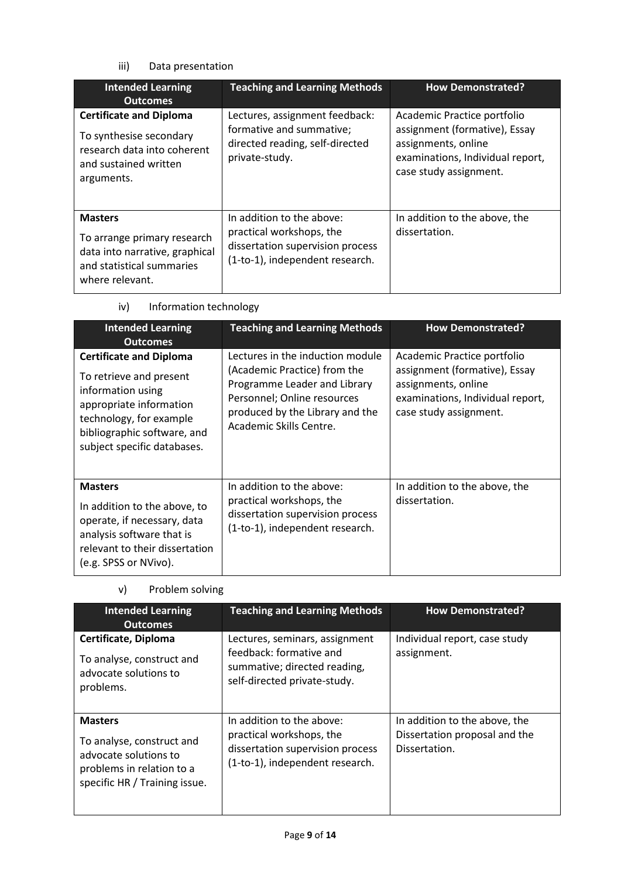# iii) Data presentation

| <b>Intended Learning</b><br><b>Outcomes</b>                                                                                     | <b>Teaching and Learning Methods</b>                                                                                         | <b>How Demonstrated?</b>                                                                                                                          |  |
|---------------------------------------------------------------------------------------------------------------------------------|------------------------------------------------------------------------------------------------------------------------------|---------------------------------------------------------------------------------------------------------------------------------------------------|--|
| <b>Certificate and Diploma</b><br>To synthesise secondary<br>research data into coherent<br>and sustained written<br>arguments. | Lectures, assignment feedback:<br>formative and summative;<br>directed reading, self-directed<br>private-study.              | Academic Practice portfolio<br>assignment (formative), Essay<br>assignments, online<br>examinations, Individual report,<br>case study assignment. |  |
| <b>Masters</b><br>To arrange primary research<br>data into narrative, graphical<br>and statistical summaries<br>where relevant. | In addition to the above:<br>practical workshops, the<br>dissertation supervision process<br>(1-to-1), independent research. | In addition to the above, the<br>dissertation.                                                                                                    |  |

| <b>Intended Learning</b><br><b>Outcomes</b>                                                                                                                                                        | <b>Teaching and Learning Methods</b>                                                                                                                                                          | <b>How Demonstrated?</b>                                                                                                                          |
|----------------------------------------------------------------------------------------------------------------------------------------------------------------------------------------------------|-----------------------------------------------------------------------------------------------------------------------------------------------------------------------------------------------|---------------------------------------------------------------------------------------------------------------------------------------------------|
| <b>Certificate and Diploma</b><br>To retrieve and present<br>information using<br>appropriate information<br>technology, for example<br>bibliographic software, and<br>subject specific databases. | Lectures in the induction module<br>(Academic Practice) from the<br>Programme Leader and Library<br>Personnel; Online resources<br>produced by the Library and the<br>Academic Skills Centre. | Academic Practice portfolio<br>assignment (formative), Essay<br>assignments, online<br>examinations, Individual report,<br>case study assignment. |
| <b>Masters</b><br>In addition to the above, to<br>operate, if necessary, data<br>analysis software that is<br>relevant to their dissertation<br>(e.g. SPSS or NVivo).                              | In addition to the above:<br>practical workshops, the<br>dissertation supervision process<br>(1-to-1), independent research.                                                                  | In addition to the above, the<br>dissertation.                                                                                                    |

| iv)<br>Information technology |  |
|-------------------------------|--|
|-------------------------------|--|

| <b>Intended Learning</b><br><b>Outcomes</b>                                                                                        | <b>Teaching and Learning Methods</b>                                                                                         | <b>How Demonstrated?</b>                                                        |
|------------------------------------------------------------------------------------------------------------------------------------|------------------------------------------------------------------------------------------------------------------------------|---------------------------------------------------------------------------------|
| Certificate, Diploma<br>To analyse, construct and<br>advocate solutions to<br>problems.                                            | Lectures, seminars, assignment<br>feedback: formative and<br>summative; directed reading,<br>self-directed private-study.    | Individual report, case study<br>assignment.                                    |
| <b>Masters</b><br>To analyse, construct and<br>advocate solutions to<br>problems in relation to a<br>specific HR / Training issue. | In addition to the above:<br>practical workshops, the<br>dissertation supervision process<br>(1-to-1), independent research. | In addition to the above, the<br>Dissertation proposal and the<br>Dissertation. |

## v) Problem solving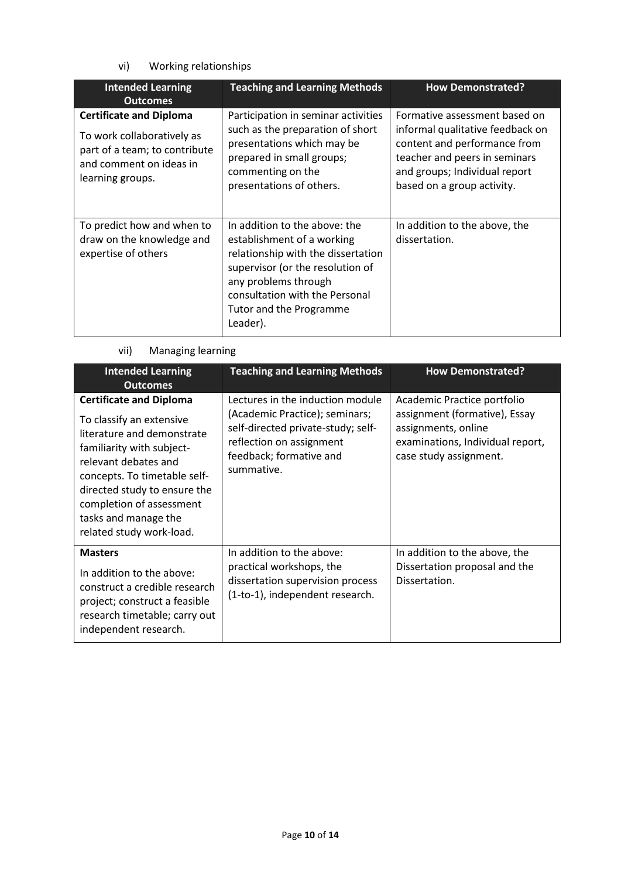# vi) Working relationships

| <b>Intended Learning</b><br><b>Outcomes</b>                                                                                                  | <b>Teaching and Learning Methods</b>                                                                                                                                                                                                   | <b>How Demonstrated?</b>                                                                                                                                                                          |  |
|----------------------------------------------------------------------------------------------------------------------------------------------|----------------------------------------------------------------------------------------------------------------------------------------------------------------------------------------------------------------------------------------|---------------------------------------------------------------------------------------------------------------------------------------------------------------------------------------------------|--|
| <b>Certificate and Diploma</b><br>To work collaboratively as<br>part of a team; to contribute<br>and comment on ideas in<br>learning groups. | Participation in seminar activities<br>such as the preparation of short<br>presentations which may be<br>prepared in small groups;<br>commenting on the<br>presentations of others.                                                    | Formative assessment based on<br>informal qualitative feedback on<br>content and performance from<br>teacher and peers in seminars<br>and groups; Individual report<br>based on a group activity. |  |
| To predict how and when to<br>draw on the knowledge and<br>expertise of others                                                               | In addition to the above: the<br>establishment of a working<br>relationship with the dissertation<br>supervisor (or the resolution of<br>any problems through<br>consultation with the Personal<br>Tutor and the Programme<br>Leader). | In addition to the above, the<br>dissertation.                                                                                                                                                    |  |

# vii) Managing learning

| <b>Intended Learning</b><br><b>Outcomes</b>                                                                                                                                                                                                                                                   | <b>Teaching and Learning Methods</b>                                                                                                                                          | <b>How Demonstrated?</b>                                                                                                                          |
|-----------------------------------------------------------------------------------------------------------------------------------------------------------------------------------------------------------------------------------------------------------------------------------------------|-------------------------------------------------------------------------------------------------------------------------------------------------------------------------------|---------------------------------------------------------------------------------------------------------------------------------------------------|
| <b>Certificate and Diploma</b><br>To classify an extensive<br>literature and demonstrate<br>familiarity with subject-<br>relevant debates and<br>concepts. To timetable self-<br>directed study to ensure the<br>completion of assessment<br>tasks and manage the<br>related study work-load. | Lectures in the induction module<br>(Academic Practice); seminars;<br>self-directed private-study; self-<br>reflection on assignment<br>feedback; formative and<br>summative. | Academic Practice portfolio<br>assignment (formative), Essay<br>assignments, online<br>examinations, Individual report,<br>case study assignment. |
| <b>Masters</b><br>In addition to the above:<br>construct a credible research<br>project; construct a feasible<br>research timetable; carry out<br>independent research.                                                                                                                       | In addition to the above:<br>practical workshops, the<br>dissertation supervision process<br>(1-to-1), independent research.                                                  | In addition to the above, the<br>Dissertation proposal and the<br>Dissertation.                                                                   |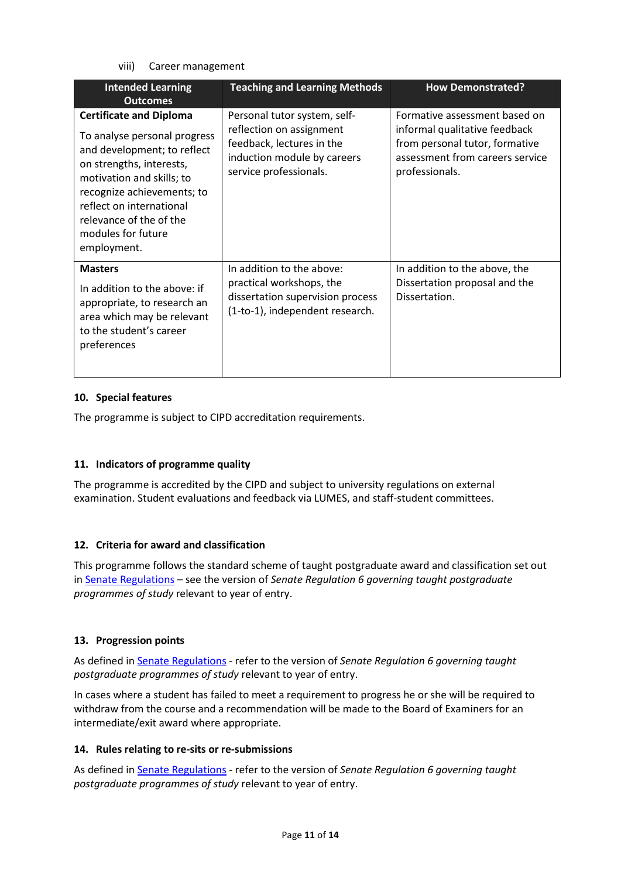viii) Career management

| <b>Intended Learning</b><br><b>Outcomes</b>                                                                                                                                                                                                                                      | <b>Teaching and Learning Methods</b>                                                                                                           | <b>How Demonstrated?</b>                                                                                                                              |
|----------------------------------------------------------------------------------------------------------------------------------------------------------------------------------------------------------------------------------------------------------------------------------|------------------------------------------------------------------------------------------------------------------------------------------------|-------------------------------------------------------------------------------------------------------------------------------------------------------|
| <b>Certificate and Diploma</b><br>To analyse personal progress<br>and development; to reflect<br>on strengths, interests,<br>motivation and skills; to<br>recognize achievements; to<br>reflect on international<br>relevance of the of the<br>modules for future<br>employment. | Personal tutor system, self-<br>reflection on assignment<br>feedback, lectures in the<br>induction module by careers<br>service professionals. | Formative assessment based on<br>informal qualitative feedback<br>from personal tutor, formative<br>assessment from careers service<br>professionals. |
| <b>Masters</b><br>In addition to the above: if<br>appropriate, to research an<br>area which may be relevant<br>to the student's career<br>preferences                                                                                                                            | In addition to the above:<br>practical workshops, the<br>dissertation supervision process<br>(1-to-1), independent research.                   | In addition to the above, the<br>Dissertation proposal and the<br>Dissertation.                                                                       |

### **10. Special features**

The programme is subject to CIPD accreditation requirements.

### **11. Indicators of programme quality**

The programme is accredited by the CIPD and subject to university regulations on external examination. Student evaluations and feedback via LUMES, and staff-student committees.

### **12. Criteria for award and classification**

This programme follows the standard scheme of taught postgraduate award and classification set out i[n Senate Regulations](http://www.le.ac.uk/senate-regulations) – see the version of *Senate Regulation 6 governing taught postgraduate programmes of study* relevant to year of entry.

### **13. Progression points**

As defined i[n Senate Regulations](http://www.le.ac.uk/senate-regulation6) - refer to the version of *Senate Regulation 6 governing taught postgraduate programmes of study* relevant to year of entry.

In cases where a student has failed to meet a requirement to progress he or she will be required to withdraw from the course and a recommendation will be made to the Board of Examiners for an intermediate/exit award where appropriate.

### **14. Rules relating to re-sits or re-submissions**

As defined i[n Senate Regulations](http://www.le.ac.uk/senate-regulation6) - refer to the version of *Senate Regulation 6 governing taught postgraduate programmes of study* relevant to year of entry.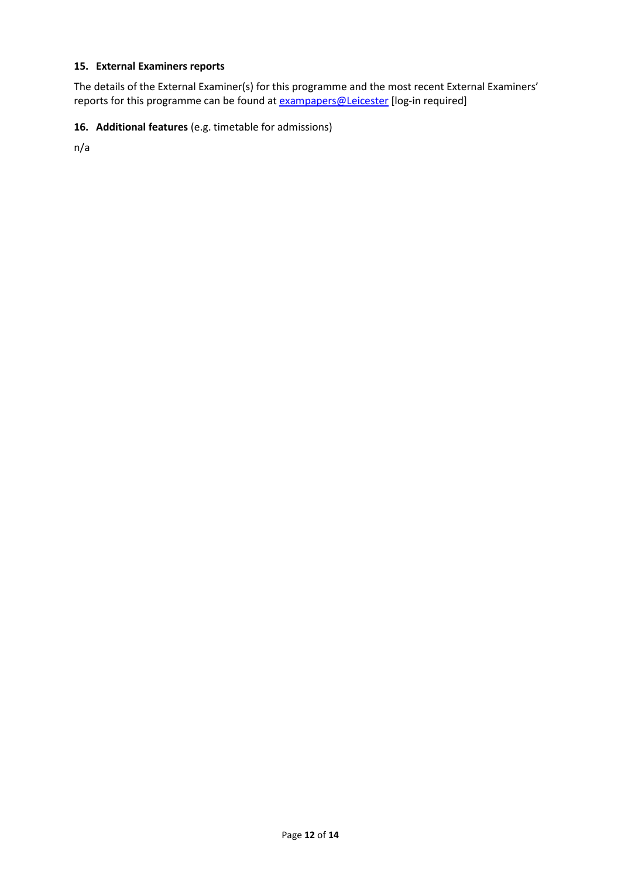# **15. External Examiners reports**

The details of the External Examiner(s) for this programme and the most recent External Examiners' reports for this programme can be found at **exampapers@Leicester** [log-in required]

### **16. Additional features** (e.g. timetable for admissions)

n/a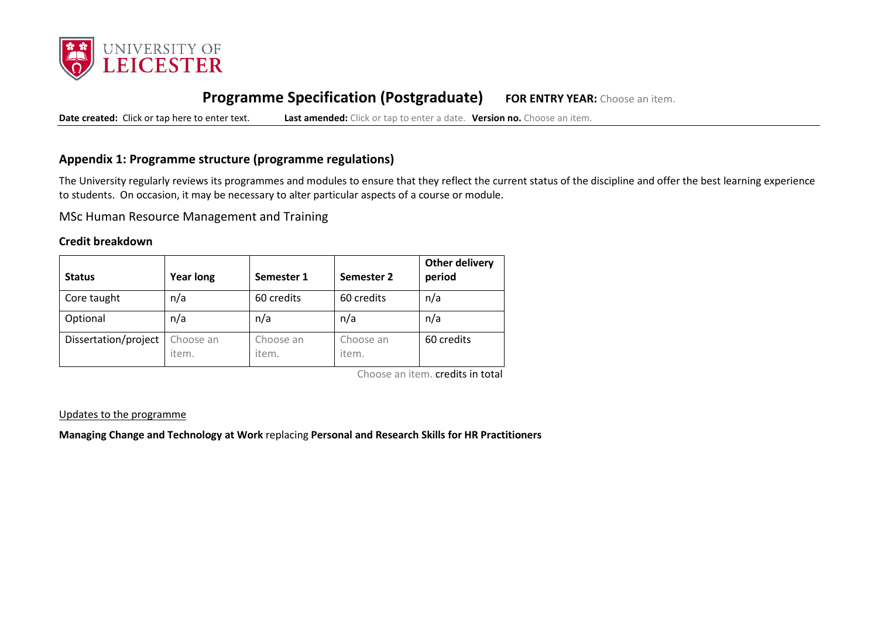

# **Programme Specification (Postgraduate) FOR ENTRY YEAR:** Choose an item.

**Date created:** Click or tap here to enter text. **Last amended:** Click or tap to enter a date. **Version no.** Choose an item.

# **Appendix 1: Programme structure (programme regulations)**

The University regularly reviews its programmes and modules to ensure that they reflect the current status of the discipline and offer the best learning experience to students. On occasion, it may be necessary to alter particular aspects of a course or module.

MSc Human Resource Management and Training

### **Credit breakdown**

| <b>Status</b>        | <b>Year long</b>   | Semester 1         | Semester 2         | <b>Other delivery</b><br>period |
|----------------------|--------------------|--------------------|--------------------|---------------------------------|
| Core taught          | n/a                | 60 credits         | 60 credits         | n/a                             |
| Optional             | n/a                | n/a                | n/a                | n/a                             |
| Dissertation/project | Choose an<br>item. | Choose an<br>item. | Choose an<br>item. | 60 credits                      |

Choose an item. credits in total

#### Updates to the programme

**Managing Change and Technology at Work** replacing **Personal and Research Skills for HR Practitioners**